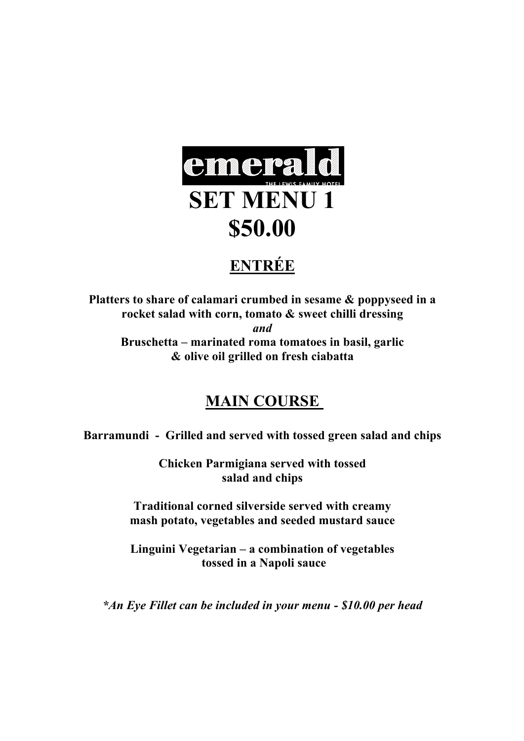

# **ENTRÉE**

**Platters to share of calamari crumbed in sesame & poppyseed in a rocket salad with corn, tomato & sweet chilli dressing** *and* **Bruschetta – marinated roma tomatoes in basil, garlic & olive oil grilled on fresh ciabatta** 

## **MAIN COURSE**

**Barramundi - Grilled and served with tossed green salad and chips**

**Chicken Parmigiana served with tossed salad and chips**

**Traditional corned silverside served with creamy mash potato, vegetables and seeded mustard sauce**

**Linguini Vegetarian – a combination of vegetables tossed in a Napoli sauce**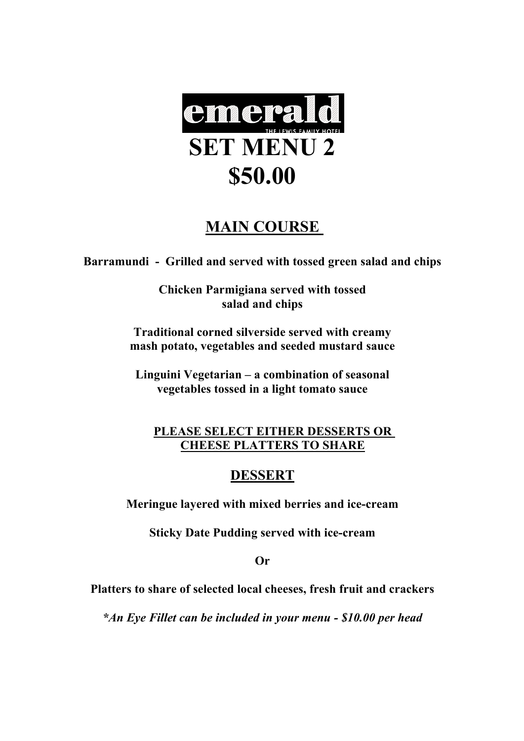

### **MAIN COURSE**

**Barramundi - Grilled and served with tossed green salad and chips**

**Chicken Parmigiana served with tossed salad and chips**

**Traditional corned silverside served with creamy mash potato, vegetables and seeded mustard sauce**

**Linguini Vegetarian – a combination of seasonal vegetables tossed in a light tomato sauce**

#### **PLEASE SELECT EITHER DESSERTS OR CHEESE PLATTERS TO SHARE**

#### **DESSERT**

**Meringue layered with mixed berries and ice-cream**

**Sticky Date Pudding served with ice-cream**

**Or**

**Platters to share of selected local cheeses, fresh fruit and crackers**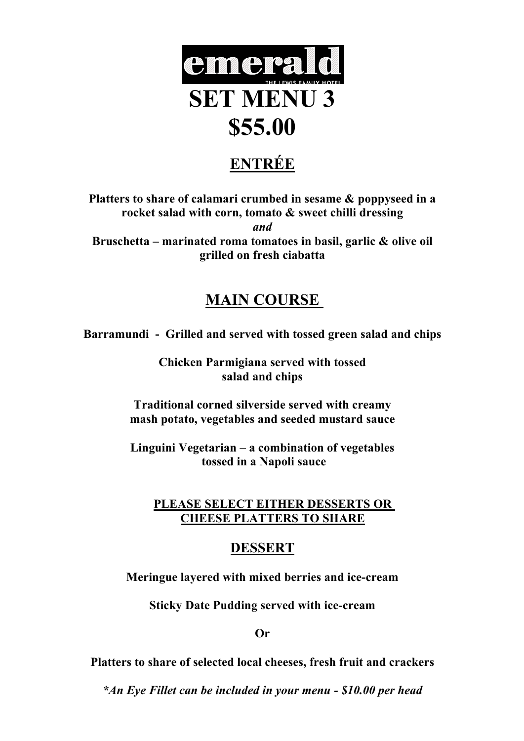

# **ENTRÉE**

**Platters to share of calamari crumbed in sesame & poppyseed in a rocket salad with corn, tomato & sweet chilli dressing** *and* **Bruschetta – marinated roma tomatoes in basil, garlic & olive oil grilled on fresh ciabatta** 

### **MAIN COURSE**

**Barramundi - Grilled and served with tossed green salad and chips**

**Chicken Parmigiana served with tossed salad and chips**

**Traditional corned silverside served with creamy mash potato, vegetables and seeded mustard sauce**

**Linguini Vegetarian – a combination of vegetables tossed in a Napoli sauce**

#### **PLEASE SELECT EITHER DESSERTS OR CHEESE PLATTERS TO SHARE**

#### **DESSERT**

**Meringue layered with mixed berries and ice-cream**

**Sticky Date Pudding served with ice-cream**

**Or**

**Platters to share of selected local cheeses, fresh fruit and crackers**